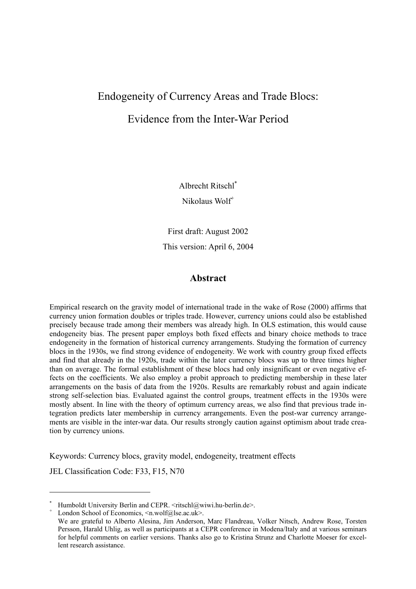# Endogeneity of Currency Areas and Trade Blocs:

# Evidence from the Inter-War Period

Albrecht Ritschl\*

Nikolaus Wolf<sup>+</sup>

First draft: August 2002 This version: April 6, 2004

## **Abstract**

Empirical research on the gravity model of international trade in the wake of Rose (2000) affirms that currency union formation doubles or triples trade. However, currency unions could also be established precisely because trade among their members was already high. In OLS estimation, this would cause endogeneity bias. The present paper employs both fixed effects and binary choice methods to trace endogeneity in the formation of historical currency arrangements. Studying the formation of currency blocs in the 1930s, we find strong evidence of endogeneity. We work with country group fixed effects and find that already in the 1920s, trade within the later currency blocs was up to three times higher than on average. The formal establishment of these blocs had only insignificant or even negative effects on the coefficients. We also employ a probit approach to predicting membership in these later arrangements on the basis of data from the 1920s. Results are remarkably robust and again indicate strong self-selection bias. Evaluated against the control groups, treatment effects in the 1930s were mostly absent. In line with the theory of optimum currency areas, we also find that previous trade integration predicts later membership in currency arrangements. Even the post-war currency arrangements are visible in the inter-war data. Our results strongly caution against optimism about trade creation by currency unions.

Keywords: Currency blocs, gravity model, endogeneity, treatment effects

JEL Classification Code: F33, F15, N70

1

<sup>\*</sup> Humboldt University Berlin and CEPR.  $\leq$ ritschl@wiwi.hu-berlin.de>.

<sup>+</sup> London School of Economics,  $\leq n$ .wolf@lse.ac.uk>.

We are grateful to Alberto Alesina, Jim Anderson, Marc Flandreau, Volker Nitsch, Andrew Rose, Torsten Persson, Harald Uhlig, as well as participants at a CEPR conference in Modena/Italy and at various seminars for helpful comments on earlier versions. Thanks also go to Kristina Strunz and Charlotte Moeser for excellent research assistance.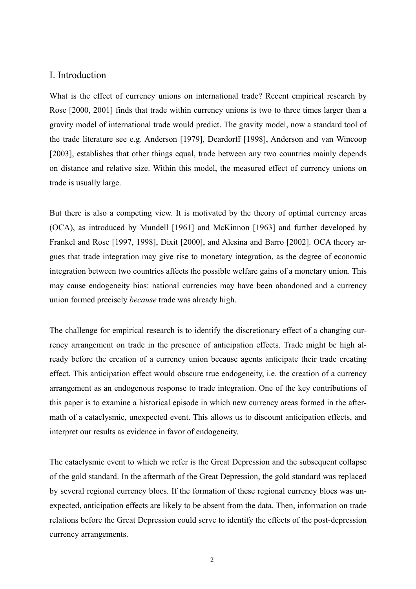### I. Introduction

What is the effect of currency unions on international trade? Recent empirical research by Rose [2000, 2001] finds that trade within currency unions is two to three times larger than a gravity model of international trade would predict. The gravity model, now a standard tool of the trade literature see e.g. Anderson [1979], Deardorff [1998], Anderson and van Wincoop [2003], establishes that other things equal, trade between any two countries mainly depends on distance and relative size. Within this model, the measured effect of currency unions on trade is usually large.

But there is also a competing view. It is motivated by the theory of optimal currency areas (OCA), as introduced by Mundell [1961] and McKinnon [1963] and further developed by Frankel and Rose [1997, 1998], Dixit [2000], and Alesina and Barro [2002]. OCA theory argues that trade integration may give rise to monetary integration, as the degree of economic integration between two countries affects the possible welfare gains of a monetary union. This may cause endogeneity bias: national currencies may have been abandoned and a currency union formed precisely *because* trade was already high.

The challenge for empirical research is to identify the discretionary effect of a changing currency arrangement on trade in the presence of anticipation effects. Trade might be high already before the creation of a currency union because agents anticipate their trade creating effect. This anticipation effect would obscure true endogeneity, i.e. the creation of a currency arrangement as an endogenous response to trade integration. One of the key contributions of this paper is to examine a historical episode in which new currency areas formed in the aftermath of a cataclysmic, unexpected event. This allows us to discount anticipation effects, and interpret our results as evidence in favor of endogeneity.

The cataclysmic event to which we refer is the Great Depression and the subsequent collapse of the gold standard. In the aftermath of the Great Depression, the gold standard was replaced by several regional currency blocs. If the formation of these regional currency blocs was unexpected, anticipation effects are likely to be absent from the data. Then, information on trade relations before the Great Depression could serve to identify the effects of the post-depression currency arrangements.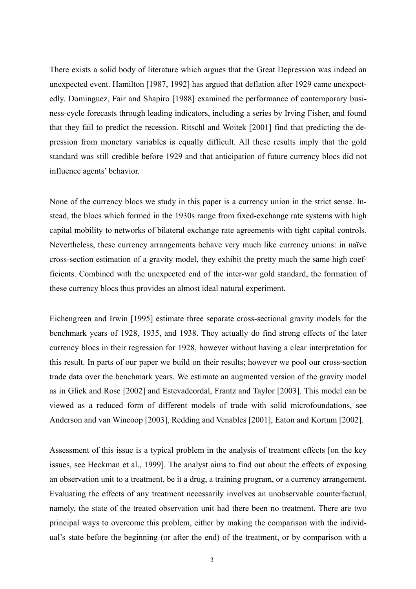There exists a solid body of literature which argues that the Great Depression was indeed an unexpected event. Hamilton [1987, 1992] has argued that deflation after 1929 came unexpectedly. Dominguez, Fair and Shapiro [1988] examined the performance of contemporary business-cycle forecasts through leading indicators, including a series by Irving Fisher, and found that they fail to predict the recession. Ritschl and Woitek [2001] find that predicting the depression from monetary variables is equally difficult. All these results imply that the gold standard was still credible before 1929 and that anticipation of future currency blocs did not influence agents' behavior.

None of the currency blocs we study in this paper is a currency union in the strict sense. Instead, the blocs which formed in the 1930s range from fixed-exchange rate systems with high capital mobility to networks of bilateral exchange rate agreements with tight capital controls. Nevertheless, these currency arrangements behave very much like currency unions: in naïve cross-section estimation of a gravity model, they exhibit the pretty much the same high coefficients. Combined with the unexpected end of the inter-war gold standard, the formation of these currency blocs thus provides an almost ideal natural experiment.

Eichengreen and Irwin [1995] estimate three separate cross-sectional gravity models for the benchmark years of 1928, 1935, and 1938. They actually do find strong effects of the later currency blocs in their regression for 1928, however without having a clear interpretation for this result. In parts of our paper we build on their results; however we pool our cross-section trade data over the benchmark years. We estimate an augmented version of the gravity model as in Glick and Rose [2002] and Estevadeordal, Frantz and Taylor [2003]. This model can be viewed as a reduced form of different models of trade with solid microfoundations, see Anderson and van Wincoop [2003], Redding and Venables [2001], Eaton and Kortum [2002].

Assessment of this issue is a typical problem in the analysis of treatment effects [on the key issues, see Heckman et al., 1999]. The analyst aims to find out about the effects of exposing an observation unit to a treatment, be it a drug, a training program, or a currency arrangement. Evaluating the effects of any treatment necessarily involves an unobservable counterfactual, namely, the state of the treated observation unit had there been no treatment. There are two principal ways to overcome this problem, either by making the comparison with the individual's state before the beginning (or after the end) of the treatment, or by comparison with a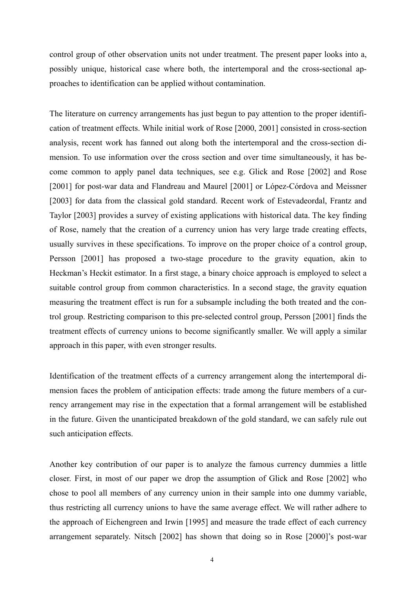control group of other observation units not under treatment. The present paper looks into a, possibly unique, historical case where both, the intertemporal and the cross-sectional approaches to identification can be applied without contamination.

The literature on currency arrangements has just begun to pay attention to the proper identification of treatment effects. While initial work of Rose [2000, 2001] consisted in cross-section analysis, recent work has fanned out along both the intertemporal and the cross-section dimension. To use information over the cross section and over time simultaneously, it has become common to apply panel data techniques, see e.g. Glick and Rose [2002] and Rose [2001] for post-war data and Flandreau and Maurel [2001] or López-Córdova and Meissner [2003] for data from the classical gold standard. Recent work of Estevadeordal, Frantz and Taylor [2003] provides a survey of existing applications with historical data. The key finding of Rose, namely that the creation of a currency union has very large trade creating effects, usually survives in these specifications. To improve on the proper choice of a control group, Persson [2001] has proposed a two-stage procedure to the gravity equation, akin to Heckman's Heckit estimator. In a first stage, a binary choice approach is employed to select a suitable control group from common characteristics. In a second stage, the gravity equation measuring the treatment effect is run for a subsample including the both treated and the control group. Restricting comparison to this pre-selected control group, Persson [2001] finds the treatment effects of currency unions to become significantly smaller. We will apply a similar approach in this paper, with even stronger results.

Identification of the treatment effects of a currency arrangement along the intertemporal dimension faces the problem of anticipation effects: trade among the future members of a currency arrangement may rise in the expectation that a formal arrangement will be established in the future. Given the unanticipated breakdown of the gold standard, we can safely rule out such anticipation effects.

Another key contribution of our paper is to analyze the famous currency dummies a little closer. First, in most of our paper we drop the assumption of Glick and Rose [2002] who chose to pool all members of any currency union in their sample into one dummy variable, thus restricting all currency unions to have the same average effect. We will rather adhere to the approach of Eichengreen and Irwin [1995] and measure the trade effect of each currency arrangement separately. Nitsch [2002] has shown that doing so in Rose [2000]'s post-war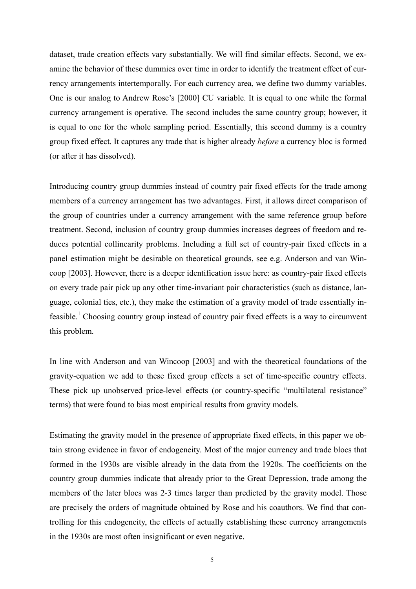dataset, trade creation effects vary substantially. We will find similar effects. Second, we examine the behavior of these dummies over time in order to identify the treatment effect of currency arrangements intertemporally. For each currency area, we define two dummy variables. One is our analog to Andrew Rose's [2000] CU variable. It is equal to one while the formal currency arrangement is operative. The second includes the same country group; however, it is equal to one for the whole sampling period. Essentially, this second dummy is a country group fixed effect. It captures any trade that is higher already *before* a currency bloc is formed (or after it has dissolved).

Introducing country group dummies instead of country pair fixed effects for the trade among members of a currency arrangement has two advantages. First, it allows direct comparison of the group of countries under a currency arrangement with the same reference group before treatment. Second, inclusion of country group dummies increases degrees of freedom and reduces potential collinearity problems. Including a full set of country-pair fixed effects in a panel estimation might be desirable on theoretical grounds, see e.g. Anderson and van Wincoop [2003]. However, there is a deeper identification issue here: as country-pair fixed effects on every trade pair pick up any other time-invariant pair characteristics (such as distance, language, colonial ties, etc.), they make the estimation of a gravity model of trade essentially infeasible.<sup>1</sup> Choosing country group instead of country pair fixed effects is a way to circumvent this problem.

In line with Anderson and van Wincoop [2003] and with the theoretical foundations of the gravity-equation we add to these fixed group effects a set of time-specific country effects. These pick up unobserved price-level effects (or country-specific "multilateral resistance" terms) that were found to bias most empirical results from gravity models.

Estimating the gravity model in the presence of appropriate fixed effects, in this paper we obtain strong evidence in favor of endogeneity. Most of the major currency and trade blocs that formed in the 1930s are visible already in the data from the 1920s. The coefficients on the country group dummies indicate that already prior to the Great Depression, trade among the members of the later blocs was 2-3 times larger than predicted by the gravity model. Those are precisely the orders of magnitude obtained by Rose and his coauthors. We find that controlling for this endogeneity, the effects of actually establishing these currency arrangements in the 1930s are most often insignificant or even negative.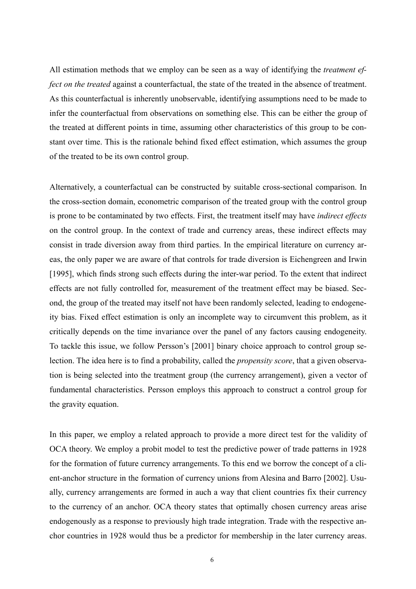All estimation methods that we employ can be seen as a way of identifying the *treatment effect on the treated* against a counterfactual, the state of the treated in the absence of treatment. As this counterfactual is inherently unobservable, identifying assumptions need to be made to infer the counterfactual from observations on something else. This can be either the group of the treated at different points in time, assuming other characteristics of this group to be constant over time. This is the rationale behind fixed effect estimation, which assumes the group of the treated to be its own control group.

Alternatively, a counterfactual can be constructed by suitable cross-sectional comparison. In the cross-section domain, econometric comparison of the treated group with the control group is prone to be contaminated by two effects. First, the treatment itself may have *indirect effects* on the control group. In the context of trade and currency areas, these indirect effects may consist in trade diversion away from third parties. In the empirical literature on currency areas, the only paper we are aware of that controls for trade diversion is Eichengreen and Irwin [1995], which finds strong such effects during the inter-war period. To the extent that indirect effects are not fully controlled for, measurement of the treatment effect may be biased. Second, the group of the treated may itself not have been randomly selected, leading to endogeneity bias. Fixed effect estimation is only an incomplete way to circumvent this problem, as it critically depends on the time invariance over the panel of any factors causing endogeneity. To tackle this issue, we follow Persson's [2001] binary choice approach to control group selection. The idea here is to find a probability, called the *propensity score*, that a given observation is being selected into the treatment group (the currency arrangement), given a vector of fundamental characteristics. Persson employs this approach to construct a control group for the gravity equation.

In this paper, we employ a related approach to provide a more direct test for the validity of OCA theory. We employ a probit model to test the predictive power of trade patterns in 1928 for the formation of future currency arrangements. To this end we borrow the concept of a client-anchor structure in the formation of currency unions from Alesina and Barro [2002]. Usually, currency arrangements are formed in auch a way that client countries fix their currency to the currency of an anchor. OCA theory states that optimally chosen currency areas arise endogenously as a response to previously high trade integration. Trade with the respective anchor countries in 1928 would thus be a predictor for membership in the later currency areas.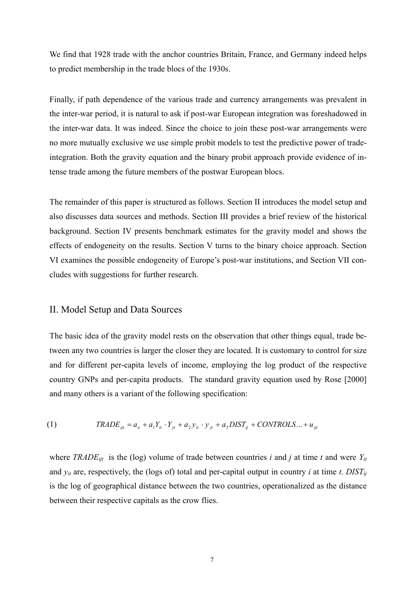We find that 1928 trade with the anchor countries Britain, France, and Germany indeed helps to predict membership in the trade blocs of the 1930s.

Finally, if path dependence of the various trade and currency arrangements was prevalent in the inter-war period, it is natural to ask if post-war European integration was foreshadowed in the inter-war data. It was indeed. Since the choice to join these post-war arrangements were no more mutually exclusive we use simple probit models to test the predictive power of tradeintegration. Both the gravity equation and the binary probit approach provide evidence of intense trade among the future members of the postwar European blocs.

The remainder of this paper is structured as follows. Section II introduces the model setup and also discusses data sources and methods. Section III provides a brief review of the historical background. Section IV presents benchmark estimates for the gravity model and shows the effects of endogeneity on the results. Section V turns to the binary choice approach. Section VI examines the possible endogeneity of Europe's post-war institutions, and Section VII concludes with suggestions for further research.

## II. Model Setup and Data Sources

The basic idea of the gravity model rests on the observation that other things equal, trade between any two countries is larger the closer they are located. It is customary to control for size and for different per-capita levels of income, employing the log product of the respective country GNPs and per-capita products. The standard gravity equation used by Rose [2000] and many others is a variant of the following specification:

(1) 
$$
TRADE_{ijt} = a_o + a_1 Y_{it} \cdot Y_{jt} + a_2 Y_{it} \cdot y_{jt} + a_3 DIST_{ij} + CONTROLS... + u_{ijt}
$$

where *TRADE<sub>ijt</sub>* is the (log) volume of trade between countries *i* and *j* at time *t* and were  $Y_{it}$ and  $y_{it}$  are, respectively, the (logs of) total and per-capital output in country *i* at time *t*. *DIST<sub>ij</sub>* is the log of geographical distance between the two countries, operationalized as the distance between their respective capitals as the crow flies.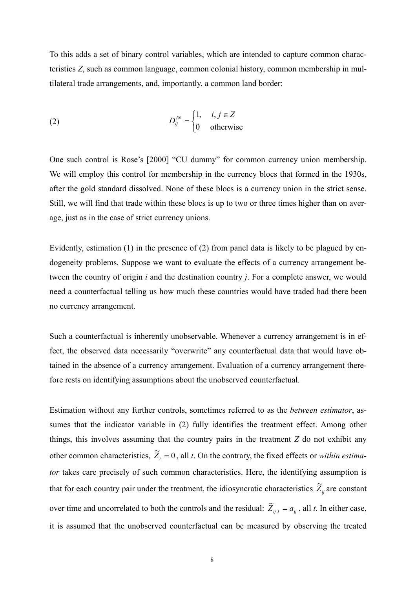To this adds a set of binary control variables, which are intended to capture common characteristics *Z*, such as common language, common colonial history, common membership in multilateral trade arrangements, and, importantly, a common land border:

(2) 
$$
D_{ij}^{IN} = \begin{cases} 1, & i, j \in \mathbb{Z} \\ 0 & \text{otherwise} \end{cases}
$$

One such control is Rose's [2000] "CU dummy" for common currency union membership. We will employ this control for membership in the currency blocs that formed in the 1930s, after the gold standard dissolved. None of these blocs is a currency union in the strict sense. Still, we will find that trade within these blocs is up to two or three times higher than on average, just as in the case of strict currency unions.

Evidently, estimation (1) in the presence of (2) from panel data is likely to be plagued by endogeneity problems. Suppose we want to evaluate the effects of a currency arrangement between the country of origin *i* and the destination country *j*. For a complete answer, we would need a counterfactual telling us how much these countries would have traded had there been no currency arrangement.

Such a counterfactual is inherently unobservable. Whenever a currency arrangement is in effect, the observed data necessarily "overwrite" any counterfactual data that would have obtained in the absence of a currency arrangement. Evaluation of a currency arrangement therefore rests on identifying assumptions about the unobserved counterfactual.

Estimation without any further controls, sometimes referred to as the *between estimator*, assumes that the indicator variable in (2) fully identifies the treatment effect. Among other things, this involves assuming that the country pairs in the treatment *Z* do not exhibit any other common characteristics,  $\tilde{Z}_t = 0$ , all *t*. On the contrary, the fixed effects or *within estimator* takes care precisely of such common characteristics. Here, the identifying assumption is that for each country pair under the treatment, the idiosyncratic characteristics  $\tilde{Z}_{ij}$  are constant over time and uncorrelated to both the controls and the residual:  $\widetilde{Z}_{ij,t} = \overline{a}_{ij}$ , all *t*. In either case, it is assumed that the unobserved counterfactual can be measured by observing the treated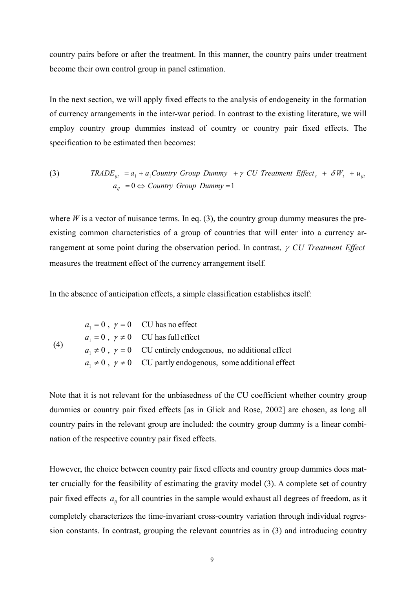country pairs before or after the treatment. In this manner, the country pairs under treatment become their own control group in panel estimation.

In the next section, we will apply fixed effects to the analysis of endogeneity in the formation of currency arrangements in the inter-war period. In contrast to the existing literature, we will employ country group dummies instead of country or country pair fixed effects. The specification to be estimated then becomes:

(3) *TRADE*<sub>*ijt*</sub> = 
$$
a_1 + a_1
$$
Country Group Dumm  $y + \gamma$  CU Treatment Effect<sub>*s*</sub> +  $\delta W_t + u_{ijt}$   
 $a_{ij} = 0 \Leftrightarrow$  Country Group Dumm  $y = 1$ 

where *W* is a vector of nuisance terms. In eq. (3), the country group dummy measures the preexisting common characteristics of a group of countries that will enter into a currency arrangement at some point during the observation period. In contrast, <sup>γ</sup> *CU Treatment Effect* measures the treatment effect of the currency arrangement itself.

In the absence of anticipation effects, a simple classification establishes itself:

| (4) | $a_1 = 0$ , $\gamma = 0$ CU has no effect                                   |
|-----|-----------------------------------------------------------------------------|
|     | $a_1 = 0$ , $\gamma \neq 0$ CU has full effect                              |
|     | $a_1 \neq 0$ , $\gamma = 0$ CU entirely endogenous, no additional effect    |
|     | $a_1 \neq 0$ , $\gamma \neq 0$ CU partly endogenous, some additional effect |

Note that it is not relevant for the unbiasedness of the CU coefficient whether country group dummies or country pair fixed effects [as in Glick and Rose, 2002] are chosen, as long all country pairs in the relevant group are included: the country group dummy is a linear combination of the respective country pair fixed effects.

However, the choice between country pair fixed effects and country group dummies does matter crucially for the feasibility of estimating the gravity model (3). A complete set of country pair fixed effects  $a_{ij}$  for all countries in the sample would exhaust all degrees of freedom, as it completely characterizes the time-invariant cross-country variation through individual regression constants. In contrast, grouping the relevant countries as in (3) and introducing country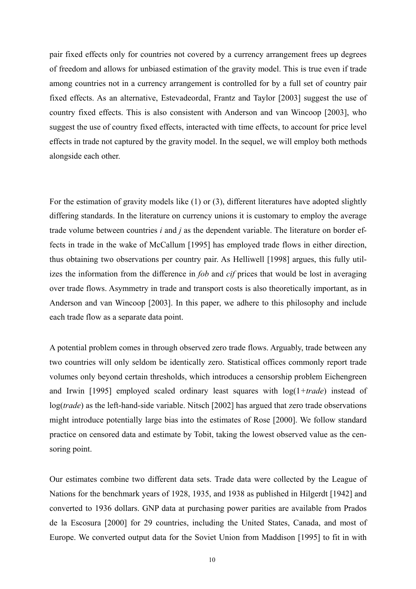pair fixed effects only for countries not covered by a currency arrangement frees up degrees of freedom and allows for unbiased estimation of the gravity model. This is true even if trade among countries not in a currency arrangement is controlled for by a full set of country pair fixed effects. As an alternative, Estevadeordal, Frantz and Taylor [2003] suggest the use of country fixed effects. This is also consistent with Anderson and van Wincoop [2003], who suggest the use of country fixed effects, interacted with time effects, to account for price level effects in trade not captured by the gravity model. In the sequel, we will employ both methods alongside each other.

For the estimation of gravity models like (1) or (3), different literatures have adopted slightly differing standards. In the literature on currency unions it is customary to employ the average trade volume between countries *i* and *j* as the dependent variable. The literature on border effects in trade in the wake of McCallum [1995] has employed trade flows in either direction, thus obtaining two observations per country pair. As Helliwell [1998] argues, this fully utilizes the information from the difference in *fob* and *cif* prices that would be lost in averaging over trade flows. Asymmetry in trade and transport costs is also theoretically important, as in Anderson and van Wincoop [2003]. In this paper, we adhere to this philosophy and include each trade flow as a separate data point.

A potential problem comes in through observed zero trade flows. Arguably, trade between any two countries will only seldom be identically zero. Statistical offices commonly report trade volumes only beyond certain thresholds, which introduces a censorship problem Eichengreen and Irwin [1995] employed scaled ordinary least squares with log(1*+trade*) instead of log(*trade*) as the left-hand-side variable. Nitsch [2002] has argued that zero trade observations might introduce potentially large bias into the estimates of Rose [2000]. We follow standard practice on censored data and estimate by Tobit, taking the lowest observed value as the censoring point.

Our estimates combine two different data sets. Trade data were collected by the League of Nations for the benchmark years of 1928, 1935, and 1938 as published in Hilgerdt [1942] and converted to 1936 dollars. GNP data at purchasing power parities are available from Prados de la Escosura [2000] for 29 countries, including the United States, Canada, and most of Europe. We converted output data for the Soviet Union from Maddison [1995] to fit in with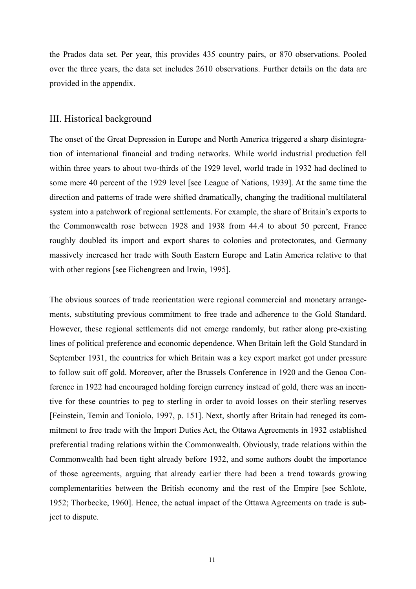the Prados data set. Per year, this provides 435 country pairs, or 870 observations. Pooled over the three years, the data set includes 2610 observations. Further details on the data are provided in the appendix.

#### III. Historical background

The onset of the Great Depression in Europe and North America triggered a sharp disintegration of international financial and trading networks. While world industrial production fell within three years to about two-thirds of the 1929 level, world trade in 1932 had declined to some mere 40 percent of the 1929 level [see League of Nations, 1939]. At the same time the direction and patterns of trade were shifted dramatically, changing the traditional multilateral system into a patchwork of regional settlements. For example, the share of Britain's exports to the Commonwealth rose between 1928 and 1938 from 44.4 to about 50 percent, France roughly doubled its import and export shares to colonies and protectorates, and Germany massively increased her trade with South Eastern Europe and Latin America relative to that with other regions [see Eichengreen and Irwin, 1995].

The obvious sources of trade reorientation were regional commercial and monetary arrangements, substituting previous commitment to free trade and adherence to the Gold Standard. However, these regional settlements did not emerge randomly, but rather along pre-existing lines of political preference and economic dependence. When Britain left the Gold Standard in September 1931, the countries for which Britain was a key export market got under pressure to follow suit off gold. Moreover, after the Brussels Conference in 1920 and the Genoa Conference in 1922 had encouraged holding foreign currency instead of gold, there was an incentive for these countries to peg to sterling in order to avoid losses on their sterling reserves [Feinstein, Temin and Toniolo, 1997, p. 151]. Next, shortly after Britain had reneged its commitment to free trade with the Import Duties Act, the Ottawa Agreements in 1932 established preferential trading relations within the Commonwealth. Obviously, trade relations within the Commonwealth had been tight already before 1932, and some authors doubt the importance of those agreements, arguing that already earlier there had been a trend towards growing complementarities between the British economy and the rest of the Empire [see Schlote, 1952; Thorbecke, 1960]. Hence, the actual impact of the Ottawa Agreements on trade is subject to dispute.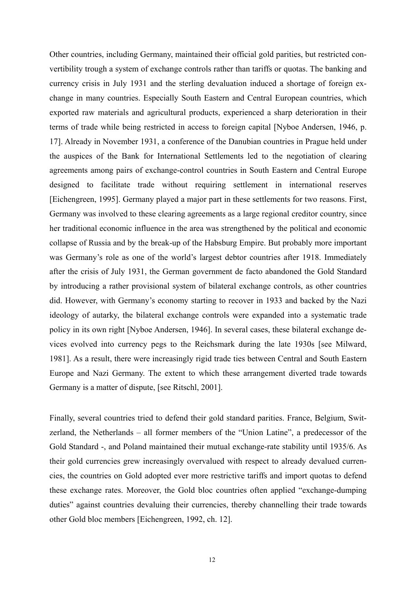Other countries, including Germany, maintained their official gold parities, but restricted convertibility trough a system of exchange controls rather than tariffs or quotas. The banking and currency crisis in July 1931 and the sterling devaluation induced a shortage of foreign exchange in many countries. Especially South Eastern and Central European countries, which exported raw materials and agricultural products, experienced a sharp deterioration in their terms of trade while being restricted in access to foreign capital [Nyboe Andersen, 1946, p. 17]. Already in November 1931, a conference of the Danubian countries in Prague held under the auspices of the Bank for International Settlements led to the negotiation of clearing agreements among pairs of exchange-control countries in South Eastern and Central Europe designed to facilitate trade without requiring settlement in international reserves [Eichengreen, 1995]. Germany played a major part in these settlements for two reasons. First, Germany was involved to these clearing agreements as a large regional creditor country, since her traditional economic influence in the area was strengthened by the political and economic collapse of Russia and by the break-up of the Habsburg Empire. But probably more important was Germany's role as one of the world's largest debtor countries after 1918. Immediately after the crisis of July 1931, the German government de facto abandoned the Gold Standard by introducing a rather provisional system of bilateral exchange controls, as other countries did. However, with Germany's economy starting to recover in 1933 and backed by the Nazi ideology of autarky, the bilateral exchange controls were expanded into a systematic trade policy in its own right [Nyboe Andersen, 1946]. In several cases, these bilateral exchange devices evolved into currency pegs to the Reichsmark during the late 1930s [see Milward, 1981]. As a result, there were increasingly rigid trade ties between Central and South Eastern Europe and Nazi Germany. The extent to which these arrangement diverted trade towards Germany is a matter of dispute, [see Ritschl, 2001].

Finally, several countries tried to defend their gold standard parities. France, Belgium, Switzerland, the Netherlands – all former members of the "Union Latine", a predecessor of the Gold Standard -, and Poland maintained their mutual exchange-rate stability until 1935/6. As their gold currencies grew increasingly overvalued with respect to already devalued currencies, the countries on Gold adopted ever more restrictive tariffs and import quotas to defend these exchange rates. Moreover, the Gold bloc countries often applied "exchange-dumping duties" against countries devaluing their currencies, thereby channelling their trade towards other Gold bloc members [Eichengreen, 1992, ch. 12].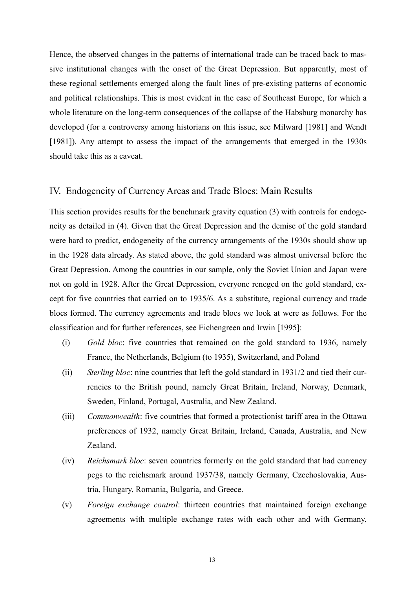Hence, the observed changes in the patterns of international trade can be traced back to massive institutional changes with the onset of the Great Depression. But apparently, most of these regional settlements emerged along the fault lines of pre-existing patterns of economic and political relationships. This is most evident in the case of Southeast Europe, for which a whole literature on the long-term consequences of the collapse of the Habsburg monarchy has developed (for a controversy among historians on this issue, see Milward [1981] and Wendt [1981]). Any attempt to assess the impact of the arrangements that emerged in the 1930s should take this as a caveat.

#### IV. Endogeneity of Currency Areas and Trade Blocs: Main Results

This section provides results for the benchmark gravity equation (3) with controls for endogeneity as detailed in (4). Given that the Great Depression and the demise of the gold standard were hard to predict, endogeneity of the currency arrangements of the 1930s should show up in the 1928 data already. As stated above, the gold standard was almost universal before the Great Depression. Among the countries in our sample, only the Soviet Union and Japan were not on gold in 1928. After the Great Depression, everyone reneged on the gold standard, except for five countries that carried on to 1935/6. As a substitute, regional currency and trade blocs formed. The currency agreements and trade blocs we look at were as follows. For the classification and for further references, see Eichengreen and Irwin [1995]:

- (i) *Gold bloc*: five countries that remained on the gold standard to 1936, namely France, the Netherlands, Belgium (to 1935), Switzerland, and Poland
- (ii) *Sterling bloc*: nine countries that left the gold standard in 1931/2 and tied their currencies to the British pound, namely Great Britain, Ireland, Norway, Denmark, Sweden, Finland, Portugal, Australia, and New Zealand.
- (iii) *Commonwealth*: five countries that formed a protectionist tariff area in the Ottawa preferences of 1932, namely Great Britain, Ireland, Canada, Australia, and New Zealand.
- (iv) *Reichsmark bloc*: seven countries formerly on the gold standard that had currency pegs to the reichsmark around 1937/38, namely Germany, Czechoslovakia, Austria, Hungary, Romania, Bulgaria, and Greece.
- (v) *Foreign exchange control*: thirteen countries that maintained foreign exchange agreements with multiple exchange rates with each other and with Germany,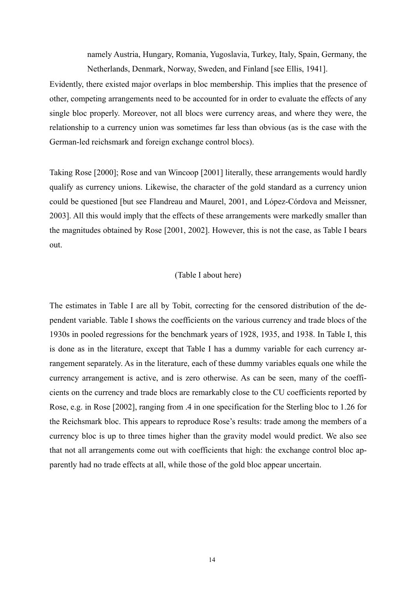namely Austria, Hungary, Romania, Yugoslavia, Turkey, Italy, Spain, Germany, the Netherlands, Denmark, Norway, Sweden, and Finland [see Ellis, 1941].

Evidently, there existed major overlaps in bloc membership. This implies that the presence of other, competing arrangements need to be accounted for in order to evaluate the effects of any single bloc properly. Moreover, not all blocs were currency areas, and where they were, the relationship to a currency union was sometimes far less than obvious (as is the case with the German-led reichsmark and foreign exchange control blocs).

Taking Rose [2000]; Rose and van Wincoop [2001] literally, these arrangements would hardly qualify as currency unions. Likewise, the character of the gold standard as a currency union could be questioned [but see Flandreau and Maurel, 2001, and López-Córdova and Meissner, 2003]. All this would imply that the effects of these arrangements were markedly smaller than the magnitudes obtained by Rose [2001, 2002]. However, this is not the case, as Table I bears out.

#### (Table I about here)

The estimates in Table I are all by Tobit, correcting for the censored distribution of the dependent variable. Table I shows the coefficients on the various currency and trade blocs of the 1930s in pooled regressions for the benchmark years of 1928, 1935, and 1938. In Table I, this is done as in the literature, except that Table I has a dummy variable for each currency arrangement separately. As in the literature, each of these dummy variables equals one while the currency arrangement is active, and is zero otherwise. As can be seen, many of the coefficients on the currency and trade blocs are remarkably close to the CU coefficients reported by Rose, e.g. in Rose [2002], ranging from .4 in one specification for the Sterling bloc to 1.26 for the Reichsmark bloc. This appears to reproduce Rose's results: trade among the members of a currency bloc is up to three times higher than the gravity model would predict. We also see that not all arrangements come out with coefficients that high: the exchange control bloc apparently had no trade effects at all, while those of the gold bloc appear uncertain.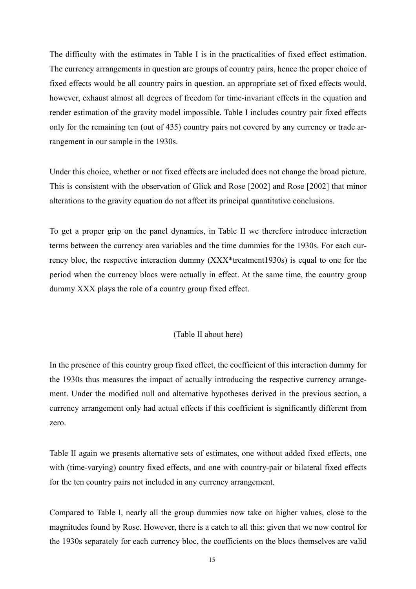The difficulty with the estimates in Table I is in the practicalities of fixed effect estimation. The currency arrangements in question are groups of country pairs, hence the proper choice of fixed effects would be all country pairs in question. an appropriate set of fixed effects would, however, exhaust almost all degrees of freedom for time-invariant effects in the equation and render estimation of the gravity model impossible. Table I includes country pair fixed effects only for the remaining ten (out of 435) country pairs not covered by any currency or trade arrangement in our sample in the 1930s.

Under this choice, whether or not fixed effects are included does not change the broad picture. This is consistent with the observation of Glick and Rose [2002] and Rose [2002] that minor alterations to the gravity equation do not affect its principal quantitative conclusions.

To get a proper grip on the panel dynamics, in Table II we therefore introduce interaction terms between the currency area variables and the time dummies for the 1930s. For each currency bloc, the respective interaction dummy (XXX\*treatment1930s) is equal to one for the period when the currency blocs were actually in effect. At the same time, the country group dummy XXX plays the role of a country group fixed effect.

## (Table II about here)

In the presence of this country group fixed effect, the coefficient of this interaction dummy for the 1930s thus measures the impact of actually introducing the respective currency arrangement. Under the modified null and alternative hypotheses derived in the previous section, a currency arrangement only had actual effects if this coefficient is significantly different from zero.

Table II again we presents alternative sets of estimates, one without added fixed effects, one with (time-varying) country fixed effects, and one with country-pair or bilateral fixed effects for the ten country pairs not included in any currency arrangement.

Compared to Table I, nearly all the group dummies now take on higher values, close to the magnitudes found by Rose. However, there is a catch to all this: given that we now control for the 1930s separately for each currency bloc, the coefficients on the blocs themselves are valid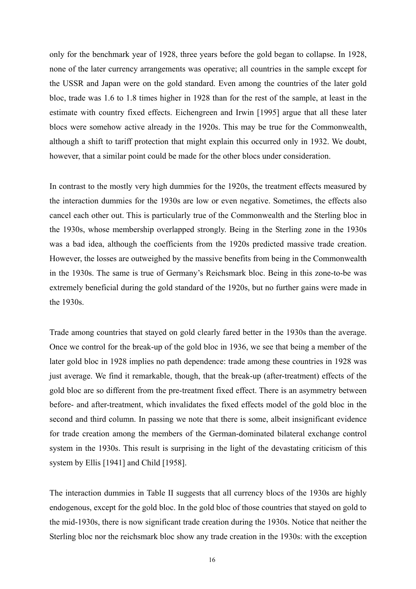only for the benchmark year of 1928, three years before the gold began to collapse. In 1928, none of the later currency arrangements was operative; all countries in the sample except for the USSR and Japan were on the gold standard. Even among the countries of the later gold bloc, trade was 1.6 to 1.8 times higher in 1928 than for the rest of the sample, at least in the estimate with country fixed effects. Eichengreen and Irwin [1995] argue that all these later blocs were somehow active already in the 1920s. This may be true for the Commonwealth, although a shift to tariff protection that might explain this occurred only in 1932. We doubt, however, that a similar point could be made for the other blocs under consideration.

In contrast to the mostly very high dummies for the 1920s, the treatment effects measured by the interaction dummies for the 1930s are low or even negative. Sometimes, the effects also cancel each other out. This is particularly true of the Commonwealth and the Sterling bloc in the 1930s, whose membership overlapped strongly. Being in the Sterling zone in the 1930s was a bad idea, although the coefficients from the 1920s predicted massive trade creation. However, the losses are outweighed by the massive benefits from being in the Commonwealth in the 1930s. The same is true of Germany's Reichsmark bloc. Being in this zone-to-be was extremely beneficial during the gold standard of the 1920s, but no further gains were made in the 1930s.

Trade among countries that stayed on gold clearly fared better in the 1930s than the average. Once we control for the break-up of the gold bloc in 1936, we see that being a member of the later gold bloc in 1928 implies no path dependence: trade among these countries in 1928 was just average. We find it remarkable, though, that the break-up (after-treatment) effects of the gold bloc are so different from the pre-treatment fixed effect. There is an asymmetry between before- and after-treatment, which invalidates the fixed effects model of the gold bloc in the second and third column. In passing we note that there is some, albeit insignificant evidence for trade creation among the members of the German-dominated bilateral exchange control system in the 1930s. This result is surprising in the light of the devastating criticism of this system by Ellis [1941] and Child [1958].

The interaction dummies in Table II suggests that all currency blocs of the 1930s are highly endogenous, except for the gold bloc. In the gold bloc of those countries that stayed on gold to the mid-1930s, there is now significant trade creation during the 1930s. Notice that neither the Sterling bloc nor the reichsmark bloc show any trade creation in the 1930s: with the exception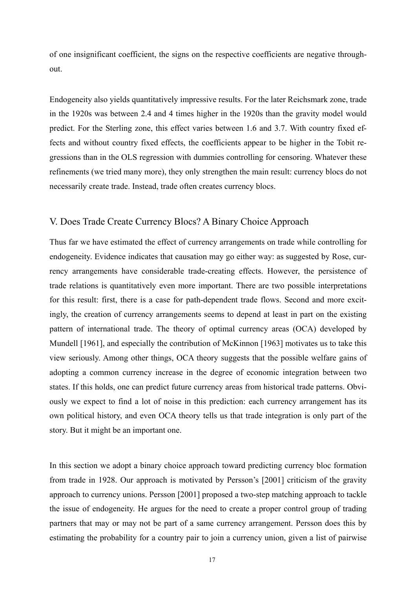of one insignificant coefficient, the signs on the respective coefficients are negative throughout.

Endogeneity also yields quantitatively impressive results. For the later Reichsmark zone, trade in the 1920s was between 2.4 and 4 times higher in the 1920s than the gravity model would predict. For the Sterling zone, this effect varies between 1.6 and 3.7. With country fixed effects and without country fixed effects, the coefficients appear to be higher in the Tobit regressions than in the OLS regression with dummies controlling for censoring. Whatever these refinements (we tried many more), they only strengthen the main result: currency blocs do not necessarily create trade. Instead, trade often creates currency blocs.

## V. Does Trade Create Currency Blocs? A Binary Choice Approach

Thus far we have estimated the effect of currency arrangements on trade while controlling for endogeneity. Evidence indicates that causation may go either way: as suggested by Rose, currency arrangements have considerable trade-creating effects. However, the persistence of trade relations is quantitatively even more important. There are two possible interpretations for this result: first, there is a case for path-dependent trade flows. Second and more excitingly, the creation of currency arrangements seems to depend at least in part on the existing pattern of international trade. The theory of optimal currency areas (OCA) developed by Mundell [1961], and especially the contribution of McKinnon [1963] motivates us to take this view seriously. Among other things, OCA theory suggests that the possible welfare gains of adopting a common currency increase in the degree of economic integration between two states. If this holds, one can predict future currency areas from historical trade patterns. Obviously we expect to find a lot of noise in this prediction: each currency arrangement has its own political history, and even OCA theory tells us that trade integration is only part of the story. But it might be an important one.

In this section we adopt a binary choice approach toward predicting currency bloc formation from trade in 1928. Our approach is motivated by Persson's [2001] criticism of the gravity approach to currency unions. Persson [2001] proposed a two-step matching approach to tackle the issue of endogeneity. He argues for the need to create a proper control group of trading partners that may or may not be part of a same currency arrangement. Persson does this by estimating the probability for a country pair to join a currency union, given a list of pairwise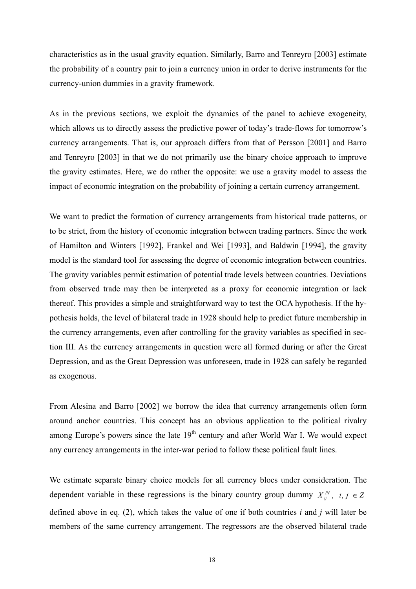characteristics as in the usual gravity equation. Similarly, Barro and Tenreyro [2003] estimate the probability of a country pair to join a currency union in order to derive instruments for the currency-union dummies in a gravity framework.

As in the previous sections, we exploit the dynamics of the panel to achieve exogeneity, which allows us to directly assess the predictive power of today's trade-flows for tomorrow's currency arrangements. That is, our approach differs from that of Persson [2001] and Barro and Tenreyro [2003] in that we do not primarily use the binary choice approach to improve the gravity estimates. Here, we do rather the opposite: we use a gravity model to assess the impact of economic integration on the probability of joining a certain currency arrangement.

We want to predict the formation of currency arrangements from historical trade patterns, or to be strict, from the history of economic integration between trading partners. Since the work of Hamilton and Winters [1992], Frankel and Wei [1993], and Baldwin [1994], the gravity model is the standard tool for assessing the degree of economic integration between countries. The gravity variables permit estimation of potential trade levels between countries. Deviations from observed trade may then be interpreted as a proxy for economic integration or lack thereof. This provides a simple and straightforward way to test the OCA hypothesis. If the hypothesis holds, the level of bilateral trade in 1928 should help to predict future membership in the currency arrangements, even after controlling for the gravity variables as specified in section III. As the currency arrangements in question were all formed during or after the Great Depression, and as the Great Depression was unforeseen, trade in 1928 can safely be regarded as exogenous.

From Alesina and Barro [2002] we borrow the idea that currency arrangements often form around anchor countries. This concept has an obvious application to the political rivalry among Europe's powers since the late  $19<sup>th</sup>$  century and after World War I. We would expect any currency arrangements in the inter-war period to follow these political fault lines.

We estimate separate binary choice models for all currency blocs under consideration. The dependent variable in these regressions is the binary country group dummy  $X_{ij}^N$ ,  $i, j \in \mathbb{Z}$ defined above in eq. (2), which takes the value of one if both countries *i* and *j* will later be members of the same currency arrangement. The regressors are the observed bilateral trade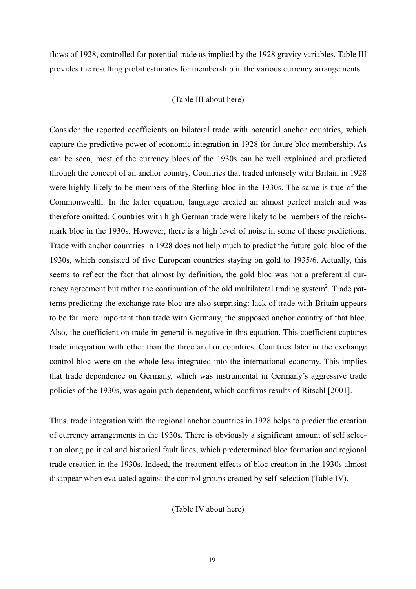flows of 1928, controlled for potential trade as implied by the 1928 gravity variables. Table III provides the resulting probit estimates for membership in the various currency arrangements.

#### (Table III about here)

Consider the reported coefficients on bilateral trade with potential anchor countries, which capture the predictive power of economic integration in 1928 for future bloc membership. As can be seen, most of the currency blocs of the 1930s can be well explained and predicted through the concept of an anchor country. Countries that traded intensely with Britain in 1928 were highly likely to be members of the Sterling bloc in the 1930s. The same is true of the Commonwealth. In the latter equation, language created an almost perfect match and was therefore omitted. Countries with high German trade were likely to be members of the reichsmark bloc in the 1930s. However, there is a high level of noise in some of these predictions. Trade with anchor countries in 1928 does not help much to predict the future gold bloc of the 1930s, which consisted of five European countries staying on gold to 1935/6. Actually, this seems to reflect the fact that almost by definition, the gold bloc was not a preferential currency agreement but rather the continuation of the old multilateral trading system<sup>2</sup>. Trade patterns predicting the exchange rate bloc are also surprising: lack of trade with Britain appears to be far more important than trade with Germany, the supposed anchor country of that bloc. Also, the coefficient on trade in general is negative in this equation. This coefficient captures trade integration with other than the three anchor countries. Countries later in the exchange control bloc were on the whole less integrated into the international economy. This implies that trade dependence on Germany, which was instrumental in Germany's aggressive trade policies of the 1930s, was again path dependent, which confirms results of Ritschl [2001].

Thus, trade integration with the regional anchor countries in 1928 helps to predict the creation of currency arrangements in the 1930s. There is obviously a significant amount of self selection along political and historical fault lines, which predetermined bloc formation and regional trade creation in the 1930s. Indeed, the treatment effects of bloc creation in the 1930s almost disappear when evaluated against the control groups created by self-selection (Table IV).

(Table IV about here)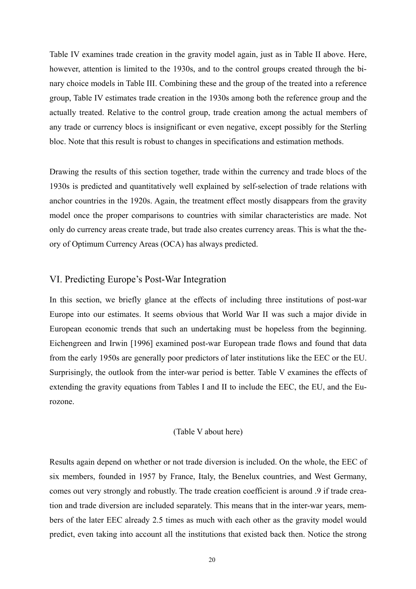Table IV examines trade creation in the gravity model again, just as in Table II above. Here, however, attention is limited to the 1930s, and to the control groups created through the binary choice models in Table III. Combining these and the group of the treated into a reference group, Table IV estimates trade creation in the 1930s among both the reference group and the actually treated. Relative to the control group, trade creation among the actual members of any trade or currency blocs is insignificant or even negative, except possibly for the Sterling bloc. Note that this result is robust to changes in specifications and estimation methods.

Drawing the results of this section together, trade within the currency and trade blocs of the 1930s is predicted and quantitatively well explained by self-selection of trade relations with anchor countries in the 1920s. Again, the treatment effect mostly disappears from the gravity model once the proper comparisons to countries with similar characteristics are made. Not only do currency areas create trade, but trade also creates currency areas. This is what the theory of Optimum Currency Areas (OCA) has always predicted.

## VI. Predicting Europe's Post-War Integration

In this section, we briefly glance at the effects of including three institutions of post-war Europe into our estimates. It seems obvious that World War II was such a major divide in European economic trends that such an undertaking must be hopeless from the beginning. Eichengreen and Irwin [1996] examined post-war European trade flows and found that data from the early 1950s are generally poor predictors of later institutions like the EEC or the EU. Surprisingly, the outlook from the inter-war period is better. Table V examines the effects of extending the gravity equations from Tables I and II to include the EEC, the EU, and the Eurozone.

#### (Table V about here)

Results again depend on whether or not trade diversion is included. On the whole, the EEC of six members, founded in 1957 by France, Italy, the Benelux countries, and West Germany, comes out very strongly and robustly. The trade creation coefficient is around .9 if trade creation and trade diversion are included separately. This means that in the inter-war years, members of the later EEC already 2.5 times as much with each other as the gravity model would predict, even taking into account all the institutions that existed back then. Notice the strong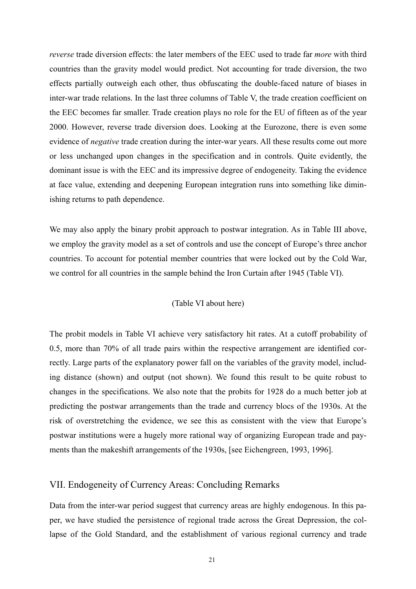*reverse* trade diversion effects: the later members of the EEC used to trade far *more* with third countries than the gravity model would predict. Not accounting for trade diversion, the two effects partially outweigh each other, thus obfuscating the double-faced nature of biases in inter-war trade relations. In the last three columns of Table V, the trade creation coefficient on the EEC becomes far smaller. Trade creation plays no role for the EU of fifteen as of the year 2000. However, reverse trade diversion does. Looking at the Eurozone, there is even some evidence of *negative* trade creation during the inter-war years. All these results come out more or less unchanged upon changes in the specification and in controls. Quite evidently, the dominant issue is with the EEC and its impressive degree of endogeneity. Taking the evidence at face value, extending and deepening European integration runs into something like diminishing returns to path dependence.

We may also apply the binary probit approach to postwar integration. As in Table III above, we employ the gravity model as a set of controls and use the concept of Europe's three anchor countries. To account for potential member countries that were locked out by the Cold War, we control for all countries in the sample behind the Iron Curtain after 1945 (Table VI).

#### (Table VI about here)

The probit models in Table VI achieve very satisfactory hit rates. At a cutoff probability of 0.5, more than 70% of all trade pairs within the respective arrangement are identified correctly. Large parts of the explanatory power fall on the variables of the gravity model, including distance (shown) and output (not shown). We found this result to be quite robust to changes in the specifications. We also note that the probits for 1928 do a much better job at predicting the postwar arrangements than the trade and currency blocs of the 1930s. At the risk of overstretching the evidence, we see this as consistent with the view that Europe's postwar institutions were a hugely more rational way of organizing European trade and payments than the makeshift arrangements of the 1930s, [see Eichengreen, 1993, 1996].

#### VII. Endogeneity of Currency Areas: Concluding Remarks

Data from the inter-war period suggest that currency areas are highly endogenous. In this paper, we have studied the persistence of regional trade across the Great Depression, the collapse of the Gold Standard, and the establishment of various regional currency and trade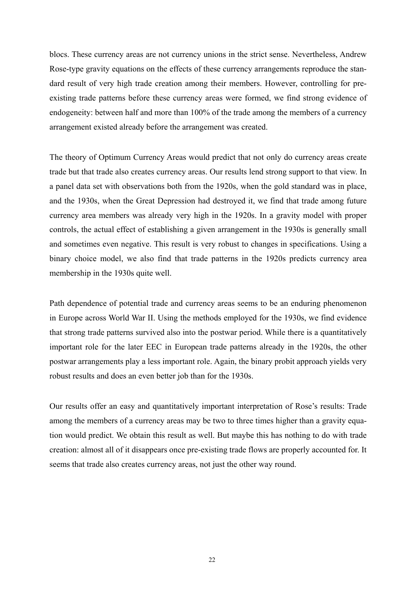blocs. These currency areas are not currency unions in the strict sense. Nevertheless, Andrew Rose-type gravity equations on the effects of these currency arrangements reproduce the standard result of very high trade creation among their members. However, controlling for preexisting trade patterns before these currency areas were formed, we find strong evidence of endogeneity: between half and more than 100% of the trade among the members of a currency arrangement existed already before the arrangement was created.

The theory of Optimum Currency Areas would predict that not only do currency areas create trade but that trade also creates currency areas. Our results lend strong support to that view. In a panel data set with observations both from the 1920s, when the gold standard was in place, and the 1930s, when the Great Depression had destroyed it, we find that trade among future currency area members was already very high in the 1920s. In a gravity model with proper controls, the actual effect of establishing a given arrangement in the 1930s is generally small and sometimes even negative. This result is very robust to changes in specifications. Using a binary choice model, we also find that trade patterns in the 1920s predicts currency area membership in the 1930s quite well.

Path dependence of potential trade and currency areas seems to be an enduring phenomenon in Europe across World War II. Using the methods employed for the 1930s, we find evidence that strong trade patterns survived also into the postwar period. While there is a quantitatively important role for the later EEC in European trade patterns already in the 1920s, the other postwar arrangements play a less important role. Again, the binary probit approach yields very robust results and does an even better job than for the 1930s.

Our results offer an easy and quantitatively important interpretation of Rose's results: Trade among the members of a currency areas may be two to three times higher than a gravity equation would predict. We obtain this result as well. But maybe this has nothing to do with trade creation: almost all of it disappears once pre-existing trade flows are properly accounted for. It seems that trade also creates currency areas, not just the other way round.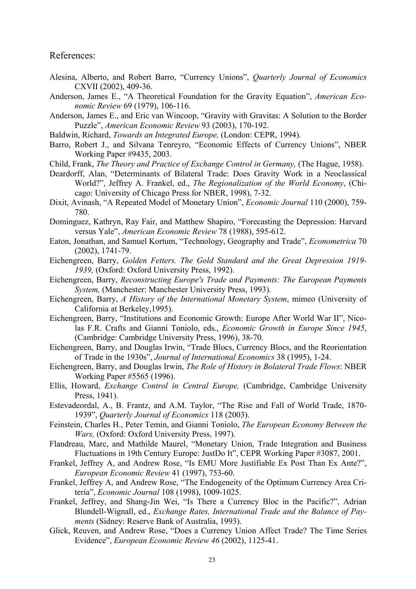References:

- Alesina, Alberto, and Robert Barro, "Currency Unions", *Quarterly Journal of Economics* CXVII (2002), 409-36.
- Anderson, James E., "A Theoretical Foundation for the Gravity Equation", *American Economic Review* 69 (1979), 106-116.
- Anderson, James E., and Eric van Wincoop, "Gravity with Gravitas: A Solution to the Border Puzzle", *American Economic Review* 93 (2003), 170-192.
- Baldwin, Richard, *Towards an Integrated Europe,* (London: CEPR, 1994).
- Barro, Robert J., and Silvana Tenreyro, "Economic Effects of Currency Unions", NBER Working Paper #9435, 2003.
- Child, Frank, *The Theory and Practice of Exchange Control in Germany,* (The Hague, 1958).
- Deardorff, Alan, "Determinants of Bilateral Trade: Does Gravity Work in a Neoclassical World?", Jeffrey A. Frankel, ed., *The Regionalization of the World Economy*, (Chicago: University of Chicago Press for NBER, 1998), 7-32.
- Dixit, Avinash, "A Repeated Model of Monetary Union", *Economic Journal* 110 (2000), 759- 780.
- Dominguez, Kathryn, Ray Fair, and Matthew Shapiro, "Forecasting the Depression: Harvard versus Yale", *American Economic Review* 78 (1988), 595-612.
- Eaton, Jonathan, and Samuel Kortum, "Technology, Geography and Trade", *Econometrica* 70 (2002), 1741-79.
- Eichengreen, Barry, *Golden Fetters. The Gold Standard and the Great Depression 1919- 1939,* (Oxford: Oxford University Press, 1992).
- Eichengreen, Barry, *Reconstructing Europe's Trade and Payments: The European Payments System,* (Manchester: Manchester University Press, 1993).
- Eichengreen, Barry, *A History of the International Monetary System*, mimeo (University of California at Berkeley,1995).
- Eichengreen, Barry, "Institutions and Economic Growth: Europe After World War II", Nicolas F.R. Crafts and Gianni Toniolo, eds., *Economic Growth in Europe Since 1945*, (Cambridge: Cambridge University Press, 1996), 38-70.
- Eichengreen, Barry, and Douglas Irwin, "Trade Blocs, Currency Blocs, and the Reorientation of Trade in the 1930s", *Journal of International Economics* 38 (1995), 1-24.
- Eichengreen, Barry, and Douglas Irwin, *The Role of History in Bolateral Trade Flows*: NBER Working Paper #5565 (1996).
- Ellis, Howard, *Exchange Control in Central Europe,* (Cambridge, Cambridge University Press, 1941).
- Estevadeordal, A., B. Frantz, and A.M. Taylor, "The Rise and Fall of World Trade, 1870- 1939", *Quarterly Journal of Economics* 118 (2003).
- Feinstein, Charles H., Peter Temin, and Gianni Toniolo, *The European Economy Between the Wars,* (Oxford: Oxford University Press, 1997).
- Flandreau, Marc, and Mathilde Maurel, "Monetary Union, Trade Integration and Business Fluctuations in 19th Century Europe: JustDo It", CEPR Working Paper #3087, 2001.
- Frankel, Jeffrey A, and Andrew Rose, "Is EMU More Justifiable Ex Post Than Ex Ante?", *European Economic Review* 41 (1997), 753-60.
- Frankel, Jeffrey A, and Andrew Rose, "The Endogeneity of the Optimum Currency Area Criteria", *Economic Journal* 108 (1998), 1009-1025.
- Frankel, Jeffrey, and Shang-Jin Wei, "Is There a Currency Bloc in the Pacific?", Adrian Blundell-Wignall, ed., *Exchange Rates, International Trade and the Balance of Payments* (Sidney: Reserve Bank of Australia, 1993).
- Glick, Reuven, and Andrew Rose, "Does a Currency Union Affect Trade? The Time Series Evidence", *European Economic Review 46* (2002), 1125-41.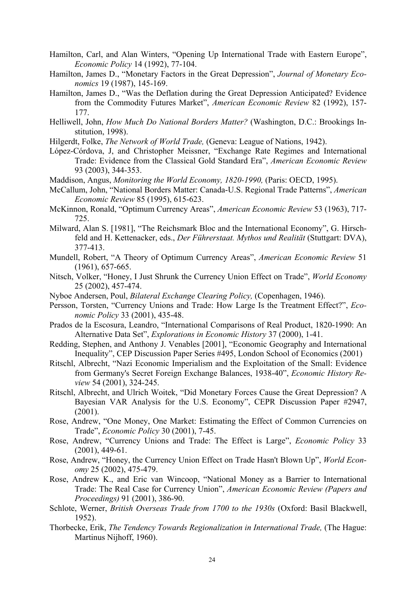- Hamilton, Carl, and Alan Winters, "Opening Up International Trade with Eastern Europe", *Economic Policy* 14 (1992), 77-104.
- Hamilton, James D., "Monetary Factors in the Great Depression", *Journal of Monetary Economics* 19 (1987), 145-169.
- Hamilton, James D., "Was the Deflation during the Great Depression Anticipated? Evidence from the Commodity Futures Market", *American Economic Review* 82 (1992), 157- 177.
- Helliwell, John, *How Much Do National Borders Matter?* (Washington, D.C.: Brookings Institution, 1998).
- Hilgerdt, Folke, *The Network of World Trade,* (Geneva: League of Nations, 1942).
- López-Córdova, J, and Christopher Meissner, "Exchange Rate Regimes and International Trade: Evidence from the Classical Gold Standard Era", *American Economic Review* 93 (2003), 344-353.
- Maddison, Angus, *Monitoring the World Economy, 1820-1990,* (Paris: OECD, 1995).
- McCallum, John, "National Borders Matter: Canada-U.S. Regional Trade Patterns", *American Economic Review* 85 (1995), 615-623.
- McKinnon, Ronald, "Optimum Currency Areas", *American Economic Review* 53 (1963), 717- 725.
- Milward, Alan S. [1981], "The Reichsmark Bloc and the International Economy", G. Hirschfeld and H. Kettenacker, eds., *Der Führerstaat. Mythos und Realität* (Stuttgart: DVA), 377-413.
- Mundell, Robert, "A Theory of Optimum Currency Areas", *American Economic Review* 51 (1961), 657-665.
- Nitsch, Volker, "Honey, I Just Shrunk the Currency Union Effect on Trade", *World Economy* 25 (2002), 457-474.
- Nyboe Andersen, Poul, *Bilateral Exchange Clearing Policy,* (Copenhagen, 1946).
- Persson, Torsten, "Currency Unions and Trade: How Large Is the Treatment Effect?", *Economic Policy* 33 (2001), 435-48.
- Prados de la Escosura, Leandro, "International Comparisons of Real Product, 1820-1990: An Alternative Data Set", *Explorations in Economic History* 37 (2000), 1-41.
- Redding, Stephen, and Anthony J. Venables [2001], "Economic Geography and International Inequality", CEP Discussion Paper Series #495, London School of Economics (2001)
- Ritschl, Albrecht, "Nazi Economic Imperialism and the Exploitation of the Small: Evidence from Germany's Secret Foreign Exchange Balances, 1938-40", *Economic History Review* 54 (2001), 324-245.
- Ritschl, Albrecht, and Ulrich Woitek, "Did Monetary Forces Cause the Great Depression? A Bayesian VAR Analysis for the U.S. Economy", CEPR Discussion Paper #2947, (2001).
- Rose, Andrew, "One Money, One Market: Estimating the Effect of Common Currencies on Trade", *Economic Policy* 30 (2001), 7-45.
- Rose, Andrew, "Currency Unions and Trade: The Effect is Large", *Economic Policy* 33 (2001), 449-61.
- Rose, Andrew, "Honey, the Currency Union Effect on Trade Hasn't Blown Up", *World Economy* 25 (2002), 475-479.
- Rose, Andrew K., and Eric van Wincoop, "National Money as a Barrier to International Trade: The Real Case for Currency Union", *American Economic Review (Papers and Proceedings)* 91 (2001), 386-90.
- Schlote, Werner, *British Overseas Trade from 1700 to the 1930s* (Oxford: Basil Blackwell, 1952).
- Thorbecke, Erik, *The Tendency Towards Regionalization in International Trade*, (The Hague: Martinus Nijhoff, 1960).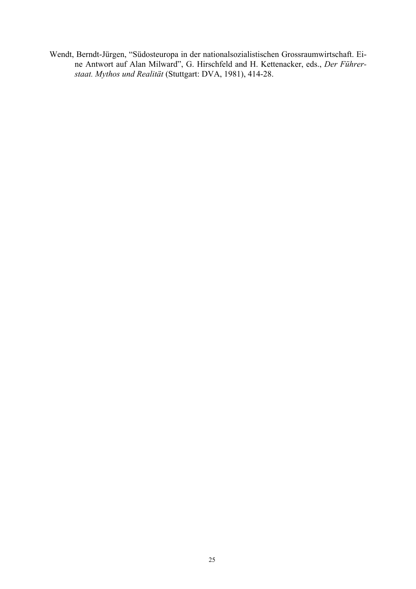Wendt, Berndt-Jürgen, "Südosteuropa in der nationalsozialistischen Grossraumwirtschaft. Eine Antwort auf Alan Milward", G. Hirschfeld and H. Kettenacker, eds., *Der Führerstaat. Mythos und Realität* (Stuttgart: DVA, 1981), 414-28.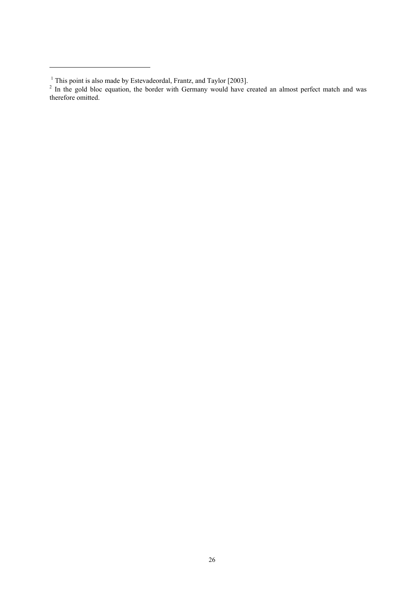1

<sup>&</sup>lt;sup>1</sup> This point is also made by Estevadeordal, Frantz, and Taylor [2003].<br><sup>2</sup> In the gold bloc equation, the border with Germany would have created an almost perfect match and was therefore omitted.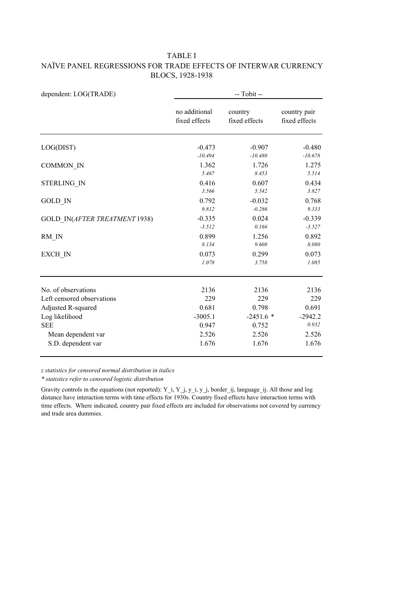#### TABLE I NAÏVE PANEL REGRESSIONS FOR TRADE EFFECTS OF INTERWAR CURRENCY BLOCS, 1928-1938

| dependent: LOG(TRADE)         | -- Tobit --                    |                             |                               |  |  |
|-------------------------------|--------------------------------|-----------------------------|-------------------------------|--|--|
|                               | no additional<br>fixed effects | country<br>fixed effects    | country pair<br>fixed effects |  |  |
| LOG(DIST)                     | $-0.473$                       | $-0.907$                    | $-0.480$                      |  |  |
| <b>COMMON IN</b>              | $-10.494$<br>1.362<br>5.467    | $-10.480$<br>1.726<br>8.453 | $-10.678$<br>1.275<br>5.514   |  |  |
| <b>STERLING IN</b>            | 0.416<br>3.566                 | 0.607<br>5.542              | 0.434<br>3.827                |  |  |
| <b>GOLD IN</b>                | 0.792<br>9.812                 | $-0.032$<br>$-0.286$        | 0.768<br>9.333                |  |  |
| GOLD IN(AFTER TREATMENT 1938) | $-0.335$<br>$-3.512$           | 0.024<br>0.166              | $-0.339$<br>$-3.527$          |  |  |
| RM IN                         | 0.899<br>8.134                 | 1.256<br>9.608              | 0.892<br>8.080                |  |  |
| EXCH IN                       | 0.073<br>1.078                 | 0.299<br>3.758              | 0.073<br>1.085                |  |  |
| No. of observations           | 2136                           | 2136                        | 2136                          |  |  |
| Left censored observations    | 229                            | 229                         | 229                           |  |  |
| Adjusted R-squared            | 0.681                          | 0.798                       | 0.691                         |  |  |
| Log likelihood                | $-3005.1$                      | $-2451.6*$                  | $-2942.2$                     |  |  |
| <b>SEE</b>                    | 0.947                          | 0.752                       | 0.932                         |  |  |
| Mean dependent var            | 2.526                          | 2.526                       | 2.526                         |  |  |
| S.D. dependent var            | 1.676                          | 1.676                       | 1.676                         |  |  |

*z statistics for censored normal distribution in italics*

*\* statistics refer to censored logistic distribution*

Gravity controls in the equations (not reported): Y\_i, Y\_j, y\_i, y\_j, border\_ij, language\_ij. All those and log distance have interaction terms with time effects for 1930s. Country fixed effects have interaction terms with time effects. Where indicated, country pair fixed effects are included for observations not covered by currency and trade area dummies.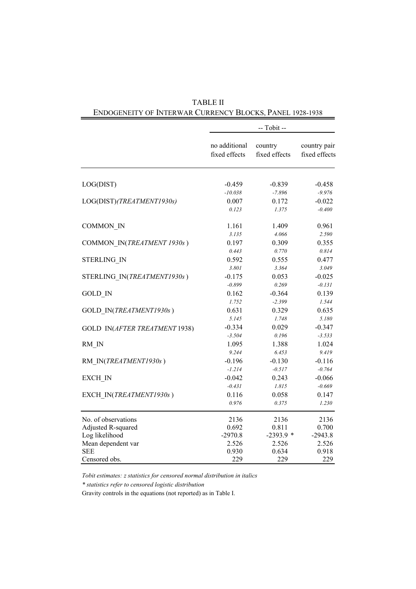|                               |                                | -- Tobit --              |                               |
|-------------------------------|--------------------------------|--------------------------|-------------------------------|
|                               | no additional<br>fixed effects | country<br>fixed effects | country pair<br>fixed effects |
| LOG(DIST)                     | $-0.459$                       | $-0.839$                 | $-0.458$                      |
|                               | $-10.038$                      | $-7.896$                 | $-9.976$                      |
| LOG(DIST)(TREATMENT1930s)     | 0.007                          | 0.172                    | $-0.022$                      |
|                               | 0.123                          | 1.375                    | $-0.400$                      |
| COMMON_IN                     | 1.161                          | 1.409                    | 0.961                         |
|                               | 3.135                          | 4.066                    | 2.590                         |
| COMMON IN(TREATMENT 1930s)    | 0.197                          | 0.309                    | 0.355                         |
|                               | 0.443                          | 0.770                    | 0.814                         |
| <b>STERLING IN</b>            | 0.592                          | 0.555                    | 0.477                         |
|                               | 3.801                          | 3.364                    | 3.049                         |
| STERLING IN(TREATMENT1930s)   | $-0.175$                       | 0.053                    | $-0.025$                      |
|                               | $-0.899$                       | 0.269                    | $-0.131$                      |
| <b>GOLD IN</b>                | 0.162                          | $-0.364$                 | 0.139                         |
|                               | 1.752                          | $-2.399$                 | 1.544                         |
| GOLD IN(TREATMENT1930s)       | 0.631                          | 0.329                    | 0.635                         |
|                               | 5.145                          | 1.748                    | 5.180                         |
| GOLD IN(AFTER TREATMENT 1938) | $-0.334$                       | 0.029                    | $-0.347$                      |
|                               | $-3.504$                       | 0.196                    | $-3.533$                      |
| RM IN                         | 1.095                          | 1.388                    | 1.024                         |
|                               | 9.244                          | 6.453                    | 9.419                         |
| RM IN(TREATMENT1930s)         | $-0.196$                       | $-0.130$                 | $-0.116$                      |
|                               | $-1.214$                       | $-0.517$                 | $-0.764$                      |
| EXCH IN                       | $-0.042$                       | 0.243                    | $-0.066$                      |
|                               | $-0.431$                       | 1.815                    | $-0.669$                      |
| EXCH IN(TREATMENT1930s)       | 0.116                          | 0.058                    | 0.147                         |
|                               | 0.976                          | 0.375                    | 1.230                         |
| No. of observations           | 2136                           | 2136                     | 2136                          |
| Adjusted R-squared            | 0.692                          | 0.811                    | 0.700                         |
| Log likelihood                | $-2970.8$                      | $-2393.9*$               | $-2943.8$                     |
| Mean dependent var            | 2.526                          | 2.526                    | 2.526                         |
| <b>SEE</b>                    | 0.930                          | 0.634                    | 0.918                         |
| Censored obs.                 | 229                            | 229                      | 229                           |

TABLE II ENDOGENEITY OF INTERWAR CURRENCY BLOCKS, PANEL 1928-1938

*Tobit estimates: z statistics for censored normal distribution in italics*

*\* statistics refer to censored logistic distribution*

Gravity controls in the equations (not reported) as in Table I.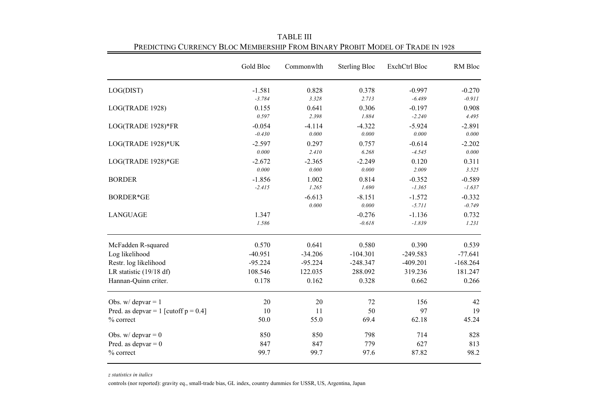|                                         | Gold Bloc            | Commonwlth            | <b>Sterling Bloc</b>  | <b>ExchCtrl Bloc</b> | RM Bloc              |
|-----------------------------------------|----------------------|-----------------------|-----------------------|----------------------|----------------------|
| LOG(DIST)                               | $-1.581$             | 0.828                 | 0.378                 | $-0.997$             | $-0.270$             |
|                                         | $-3.784$             | 3.328                 | 2.713                 | $-6.489$             | $-0.911$             |
| LOG(TRADE 1928)                         | 0.155<br>0.597       | 0.641<br>2.398        | 0.306<br>1.884        | $-0.197$<br>$-2.240$ | 0.908<br>4.495       |
| LOG(TRADE 1928)*FR                      | $-0.054$<br>$-0.430$ | $-4.114$<br>$0.000\,$ | $-4.322$<br>0.000     | $-5.924$<br>0.000    | $-2.891$<br>0.000    |
| LOG(TRADE 1928)*UK                      | $-2.597$<br>0.000    | 0.297<br>2.410        | 0.757<br>6.268        | $-0.614$<br>$-4.545$ | $-2.202$<br>0.000    |
| LOG(TRADE 1928)*GE                      | $-2.672$<br>0.000    | $-2.365$<br>$0.000\,$ | $-2.249$<br>0.000     | 0.120<br>2.009       | 0.311<br>3.525       |
| <b>BORDER</b>                           | $-1.856$<br>$-2.415$ | 1.002<br>1.265        | 0.814<br>1.690        | $-0.352$<br>$-1.365$ | $-0.589$<br>$-1.637$ |
| <b>BORDER*GE</b>                        |                      | $-6.613$<br>$0.000\,$ | $-8.151$<br>$0.000\,$ | $-1.572$<br>$-5.711$ | $-0.332$<br>$-0.749$ |
| <b>LANGUAGE</b>                         | 1.347<br>1.586       |                       | $-0.276$<br>$-0.618$  | $-1.136$<br>$-1.839$ | 0.732<br>1.231       |
| McFadden R-squared                      | 0.570                | 0.641                 | 0.580                 | 0.390                | 0.539                |
| Log likelihood                          | $-40.951$            | $-34.206$             | $-104.301$            | $-249.583$           | $-77.641$            |
| Restr. log likelihood                   | $-95.224$            | $-95.224$             | $-248.347$            | $-409.201$           | $-168.264$           |
| LR statistic $(19/18 df)$               | 108.546              | 122.035               | 288.092               | 319.236              | 181.247              |
| Hannan-Quinn criter.                    | 0.178                | 0.162                 | 0.328                 | 0.662                | 0.266                |
| Obs. $w/depvar = 1$                     | 20                   | 20                    | 72                    | 156                  | 42                   |
| Pred. as depvar = 1 [cutoff $p = 0.4$ ] | 10                   | 11                    | 50                    | 97                   | 19                   |
| % correct                               | 50.0                 | 55.0                  | 69.4                  | 62.18                | 45.24                |
| Obs. w/ depvar = $0$                    | 850                  | 850                   | 798                   | 714                  | 828                  |
| Pred. as depvar $= 0$                   | 847                  | 847                   | 779                   | 627                  | 813                  |
| % correct                               | 99.7                 | 99.7                  | 97.6                  | 87.82                | 98.2                 |

TABLE III Predicting Currency Bloc Membership From Binary Probit Model of Trade in 1928

*z statistics in italics*

controls (nor reported): gravity eq., small-trade bias, GL index, country dummies for USSR, US, Argentina, Japan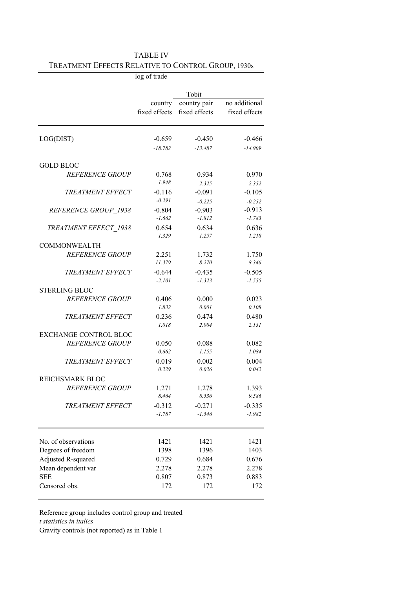|                                                | log of trade             |                               |                                |
|------------------------------------------------|--------------------------|-------------------------------|--------------------------------|
|                                                |                          |                               |                                |
|                                                |                          | Tobit                         |                                |
|                                                | country<br>fixed effects | country pair<br>fixed effects | no additional<br>fixed effects |
|                                                |                          |                               |                                |
| LOG(DIST)                                      | $-0.659$                 | $-0.450$                      | $-0.466$                       |
|                                                | $-18.782$                | $-13.487$                     | $-14.909$                      |
| <b>GOLD BLOC</b>                               |                          |                               |                                |
| <b>REFERENCE GROUP</b>                         | 0.768<br>1.948           | 0.934<br>2.325                | 0.970<br>2.352                 |
| <b>TREATMENT EFFECT</b>                        | $-0.116$                 | $-0.091$                      | $-0.105$                       |
|                                                | $-0.291$                 | $-0.225$                      | $-0.252$                       |
| REFERENCE GROUP 1938                           | $-0.804$<br>$-1.662$     | $-0.903$<br>$-1.812$          | $-0.913$<br>$-1.783$           |
| TREATMENT EFFECT 1938                          | 0.654<br>1.329           | 0.634<br>1.257                | 0.636<br>1.218                 |
| <b>COMMONWEALTH</b>                            |                          |                               |                                |
| <b>REFERENCE GROUP</b>                         | 2.251<br>11.379          | 1.732<br>8.270                | 1.750<br>8.346                 |
| <b>TREATMENT EFFECT</b>                        | $-0.644$                 | $-0.435$                      | $-0.505$                       |
|                                                | $-2.101$                 | $-1.323$                      | $-1.555$                       |
| <b>STERLING BLOC</b><br><b>REFERENCE GROUP</b> | 0.406                    | 0.000                         | 0.023                          |
|                                                | 1.832                    | 0.001                         | 0.108                          |
| <b>TREATMENT EFFECT</b>                        | 0.236                    | 0.474                         | 0.480                          |
|                                                | 1.018                    | 2.084                         | 2.131                          |
| <b>EXCHANGE CONTROL BLOC</b>                   |                          |                               |                                |
| <b>REFERENCE GROUP</b>                         | 0.050                    | 0.088                         | 0.082                          |
|                                                | 0.662                    | 1.155                         | 1.084                          |
| <b>TREATMENT EFFECT</b>                        | 0.019                    | 0.002                         | 0.004                          |
|                                                | 0.229                    | 0.026                         | 0.042                          |
| REICHSMARK BLOC                                |                          |                               |                                |
| <b>REFERENCE GROUP</b>                         | 1.271<br>8.464           | 1.278<br>8.536                | 1.393<br>9.586                 |
| <b>TREATMENT EFFECT</b>                        | $-0.312$                 | $-0.271$                      | $-0.335$                       |
|                                                | $-1.787$                 | $-1.546$                      | $-1.982$                       |
|                                                |                          |                               |                                |
| No. of observations                            | 1421                     | 1421                          | 1421                           |
| Degrees of freedom                             | 1398                     | 1396                          | 1403                           |
| Adjusted R-squared                             | 0.729                    | 0.684                         | 0.676                          |
| Mean dependent var                             | 2.278                    | 2.278                         | 2.278                          |
| <b>SEE</b>                                     | 0.807<br>172             | 0.873                         | 0.883                          |
| Censored obs.                                  |                          | 172                           | 172                            |

| <b>TABLE IV</b>                                    |  |
|----------------------------------------------------|--|
| TREATMENT EFFECTS RELATIVE TO CONTROL GROUP, 1930s |  |

Reference group includes control group and treated *t statistics in italics*

Gravity controls (not reported) as in Table 1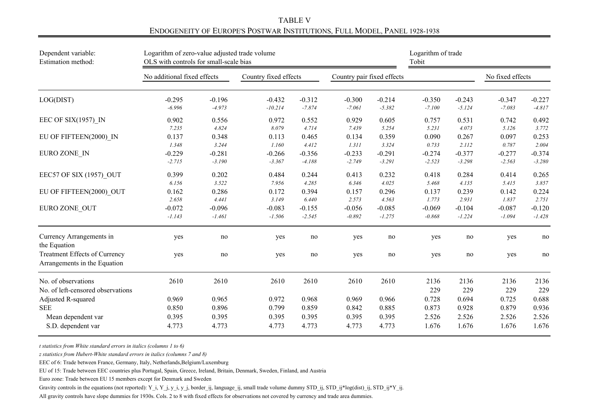TABLE VENDOGENEITY OF EUROPE'S POSTWAR INSTITUTIONS, FULL MODEL, PANEL 1928-1938

| Dependent variable:                                           | Logarithm of zero-value adjusted trade volume |          |                       |          |                            | Logarithm of trade |             |             |                  |             |
|---------------------------------------------------------------|-----------------------------------------------|----------|-----------------------|----------|----------------------------|--------------------|-------------|-------------|------------------|-------------|
| Estimation method:                                            | OLS with controls for small-scale bias        |          |                       |          |                            | Tobit              |             |             |                  |             |
|                                                               | No additional fixed effects                   |          | Country fixed effects |          | Country pair fixed effects |                    |             |             | No fixed effects |             |
| LOG(DIST)                                                     | $-0.295$                                      | $-0.196$ | $-0.432$              | $-0.312$ | $-0.300$                   | $-0.214$           | $-0.350$    | $-0.243$    | $-0.347$         | $-0.227$    |
|                                                               | $-6.996$                                      | $-4.973$ | $-10.214$             | $-7.874$ | $-7.061$                   | $-5.382$           | $-7.100$    | $-5.124$    | $-7.083$         | $-4.817$    |
| EEC OF SIX $(1957)$ IN                                        | 0.902                                         | 0.556    | 0.972                 | 0.552    | 0.929                      | 0.605              | 0.757       | 0.531       | 0.742            | 0.492       |
|                                                               | 7.235                                         | 4.824    | 8.079                 | 4.714    | 7.439                      | 5.254              | 5.231       | 4.073       | 5.126            | 3.772       |
| EU OF FIFTEEN(2000) IN                                        | 0.137                                         | 0.348    | 0.113                 | 0.465    | 0.134                      | 0.359              | 0.090       | 0.267       | 0.097            | 0.253       |
|                                                               | 1.348                                         | 3.244    | 1.160                 | 4.412    | 1.311                      | 3.324              | 0.733       | 2.112       | 0.787            | 2.004       |
| EURO ZONE IN                                                  | $-0.229$                                      | $-0.281$ | $-0.266$              | $-0.356$ | $-0.233$                   | $-0.291$           | $-0.274$    | $-0.377$    | $-0.277$         | $-0.374$    |
|                                                               | $-2.715$                                      | $-3.190$ | $-3.367$              | $-4.188$ | $-2.749$                   | $-3.291$           | $-2.523$    | $-3.298$    | $-2.563$         | $-3.280$    |
| EEC57 OF SIX (1957) OUT                                       | 0.399                                         | 0.202    | 0.484                 | 0.244    | 0.413                      | 0.232              | 0.418       | 0.284       | 0.414            | 0.265       |
|                                                               | 6.156                                         | 3.522    | 7.956                 | 4.285    | 6.346                      | 4.025              | 5.468       | 4.135       | 5.415            | 3.857       |
| EU OF FIFTEEN(2000) OUT                                       | 0.162                                         | 0.286    | 0.172                 | 0.394    | 0.157                      | 0.296              | 0.137       | 0.239       | 0.142            | 0.224       |
|                                                               | 2.658                                         | 4.441    | 3.149                 | 6.440    | 2.573                      | 4.563              | 1.773       | 2.931       | 1.837            | 2.751       |
| EURO ZONE OUT                                                 | $-0.072$                                      | $-0.096$ | $-0.083$              | $-0.155$ | $-0.056$                   | $-0.085$           | $-0.069$    | $-0.104$    | $-0.087$         | $-0.120$    |
|                                                               | $-1.143$                                      | $-1.461$ | $-1.506$              | $-2.545$ | $-0.892$                   | $-1.275$           | $-0.868$    | $-1.224$    | $-1.094$         | $-1.428$    |
| Currency Arrangements in<br>the Equation                      | yes                                           | no       | yes                   | no       | yes                        | no                 | yes         | no          | yes              | no          |
| Treatment Effects of Currency<br>Arrangements in the Equation | yes                                           | no       | yes                   | no       | yes                        | no                 | yes         | no          | yes              | $\rm no$    |
| No. of observations<br>No. of left-censored observations      | 2610                                          | 2610     | 2610                  | 2610     | 2610                       | 2610               | 2136<br>229 | 2136<br>229 | 2136<br>229      | 2136<br>229 |
| Adjusted R-squared                                            | 0.969                                         | 0.965    | 0.972                 | 0.968    | 0.969                      | 0.966              | 0.728       | 0.694       | 0.725            | 0.688       |
| <b>SEE</b>                                                    | 0.850                                         | 0.896    | 0.799                 | 0.859    | 0.842                      | 0.885              | 0.873       | 0.928       | 0.879            | 0.936       |
| Mean dependent var                                            | 0.395                                         | 0.395    | 0.395                 | 0.395    | 0.395                      | 0.395              | 2.526       | 2.526       | 2.526            | 2.526       |
| S.D. dependent var                                            | 4.773                                         | 4.773    | 4.773                 | 4.773    | 4.773                      | 4.773              | 1.676       | 1.676       | 1.676            | 1.676       |

*t statistics from White standard errors in italics (columns 1 to 6)*

*z statistics from Hubert-White standard errors in italics (columns 7 and 8)*

EEC of 6: Trade between France, Germany, Italy, Netherlands,Belgium/Luxemburg

EU of 15: Trade between EEC countries plus Portugal, Spain, Greece, Ireland, Britain, Denmark, Sweden, Finland, and Austria

Euro zone: Trade between EU 15 members except for Denmark and Sweden

Gravity controls in the equations (not reported): Y\_i, Y\_j, y\_i, y\_j, border\_ij, language\_ij, small trade volume dummy STD\_ij, STD\_ij\*log(dist)\_ij, STD\_ij\*Y\_ij.

All gravity controls have slope dummies for 1930s. Cols. 2 to 8 with fixed effects for observations not covered by currency and trade area dummies.